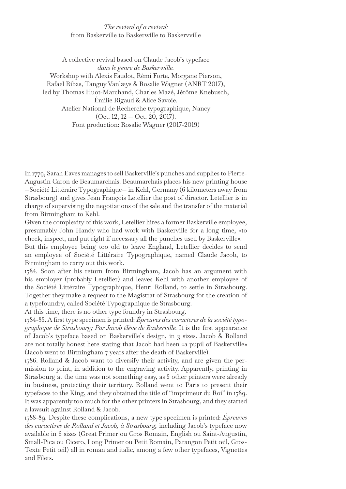## *The revival of a revival:*  from Baskerville to Baskerwille to Baskervville

A collective revival based on Claude Jacob's typeface *dans le genre de Baskerwille.* Workshop with Alexis Faudot, Rémi Forte, Morgane Pierson, Rafael Ribas, Tanguy Vanlæys & Rosalie Wagner (ANRT 2017), led by Thomas Huot-Marchand, Charles Mazé, Jérôme Knebusch, Émilie Rigaud & Alice Savoie. Atelier National de Recherche typographique, Nancy (Oct. 12, 12 — Oct. 20, 2017). Font production: Rosalie Wagner (2017-2019)

In 1779, Sarah Eaves manages to sell Baskerville's punches and supplies to Pierre-Augustin Caron de Beaumarchais. Beaumarchais places his new printing house —Société Littéraire Typographique— in Kehl, Germany (6 kilometers away from Strasbourg) and gives Jean François Letellier the post of director. Letellier is in charge of supervising the negotiations of the sale and the transfer of the material from Birmingham to Kehl.

Given the complexity of this work, Letellier hires a former Baskerville employee, presumably John Handy who had work with Baskerville for a long time, «to check, inspect, and put right if necessary all the punches used by Baskerville».

But this employee being too old to leave England, Letellier decides to send an employee of Société Littéraire Typographique, named Claude Jacob, to Birmingham to carry out this work.

1784. Soon after his return from Birmingham, Jacob has an argument with his employer (probably Letellier) and leaves Kehl with another employee of the Société Littéraire Typographique, Henri Rolland, to settle in Strasbourg. Together they make a request to the Magistrat of Strasbourg for the creation of a typefoundry, called Société Typographique de Strasbourg.

At this time, there is no other type foundry in Strasbourg.

1784-85. A first type specimen is printed: *Épreuves des caracteres de la société typographique de Strasbourg; Par Jacob élève de Baskerville.* It is the first appearance of Jacob's typeface based on Baskerville's design, in 3 sizes. Jacob & Rolland are not totally honest here stating that Jacob had been «a pupil of Baskerville» (Jacob went to Birmingham 7 years after the death of Baskerville).

1786. Rolland & Jacob want to diversify their activity, and are given the permission to print, in addition to the engraving activity. Apparently, printing in Strasbourg at the time was not something easy, as 5 other printers were already in business, protecting their territory. Rolland went to Paris to present their typefaces to the King, and they obtained the title of "imprimeur du Roi" in 1789. It was apparently too much for the other printers in Strasbourg, and they started a lawsuit against Rolland & Jacob.

1788-89. Despite these complications, a new type specimen is printed: *Épreuves des caractères de Rolland et Jacob, à Strasbourg,* including Jacob's typeface now available in 6 sizes (Great Primer ou Gros Romain, English ou Saint-Augustin, Small-Pica ou Cicero, Long Primer ou Petit Romain, Parangon Petit œil, Gros-Texte Petit œil) all in roman and italic, among a few other typefaces, Vignettes and Filets.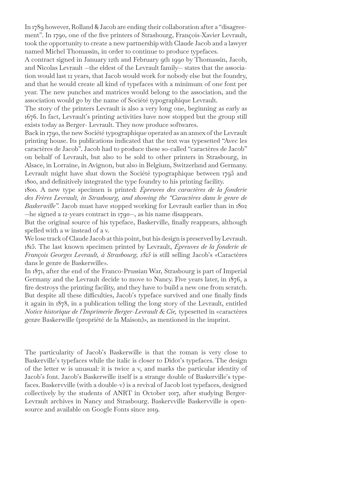In 1789 however, Rolland & Jacob are ending their collaboration after a "disagreement". In 1790, one of the five printers of Strasbourg, François-Xavier Levrault, took the opportunity to create a new partnership with Claude Jacob and a lawyer named Michel Thomassin, in order to continue to produce typefaces.

A contract signed in January 12th and February 9th 1990 by Thomassin, Jacob, and Nicolas Levrault —the eldest of the Levrault family— states that the association would last 12 years, that Jacob would work for nobody else but the foundry, and that he would create all kind of typefaces with a minimum of one font per year. The new punches and matrices would belong to the association, and the association would go by the name of Société typographique Levrault.

The story of the printers Levrault is also a very long one, beginning as early as 1676. In fact, Levrault's printing activities have now stopped but the group still exists today as Berger- Levrault. They now produce softwares.

Back in 1790, the new Société typographique operated as an annex of the Levrault printing house. Its publications indicated that the text was typesetted "Avec les caractères de Jacob". Jacob had to produce these so-called "caractères de Jacob" on behalf of Levrault, but also to be sold to other printers in Strasbourg, in Alsace, in Lorraine, in Avignon, but also in Belgium, Switzerland and Germany. Levrault might have shut down the Société typographique between 1795 and 1800, and definitively integrated the type foundry to his printing facility.

1800. A new type specimen is printed: *Épreuves des caractères de la fonderie des Frères Levrault, in Strasbourg, and showing the "Caractères dans le genre de Baskerwille".* Jacob must have stopped working for Levrault earlier than in 1802 —he signed a 12-years contract in 1790—, as his name disappears.

But the original source of his typeface, Baskerville, finally reappears, although spelled with a w instead of a v.

We lose track of Claude Jacob at this point, but his design is preserved by Levrault. 1815. The last known specimen printed by Levrault, *Épreuves de la fonderie de François Georges Levrault, à Strasbourg, 1815* is still selling Jacob's «Caractères dans le genre de Baskerwille».

In 1871, after the end of the Franco-Prussian War, Strasbourg is part of Imperial Germany and the Levrault decide to move to Nancy. Five years later, in 1876, a fire destroys the printing facility, and they have to build a new one from scratch. But despite all these difficulties, Jacob's typeface survived and one finally finds it again in 1878, in a publication telling the long story of the Levrault, entitled *Notice historique de l'Imprimerie Berger-Levrault & Cie,* typesetted in «caractères genre Baskerwille (propriété de la Maison)», as mentioned in the imprint.

The particularity of Jacob's Baskerwille is that the roman is very close to Baskerville's typefaces while the italic is closer to Didot's typefaces. The design of the letter w is unusual: it is twice a v, and marks the particular identity of Jacob's font. Jacob's Baskerwille itself is a strange double of Baskerville's typefaces. Baskervville (with a double-v) is a revival of Jacob lost typefaces, designed collectively by the students of ANRT in October 2017, after studying Berger-Levrault archives in Nancy and Strasbourg. Baskervville Baskervville is opensource and available on Google Fonts since 2019.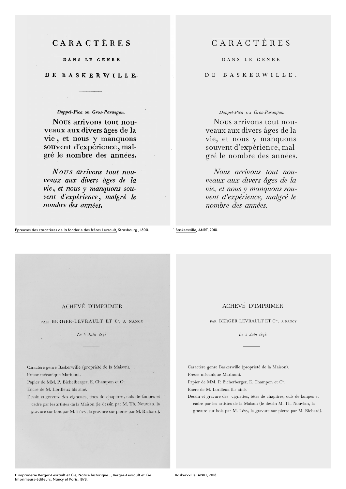# CARACTÈRES

DANS LE GENRE

DE BASKERWILLE.

### Doppel-Pica ou Gros-Parangon.

Nous arrivons tout nouveaux aux divers âges de la vie, et nous y manquons souvent d'expérience, malgré le nombre des années.

Nous arrivons tout nouveaux aux divers àges de la vie, et nous y manquons souvent d'expérience, malgré le nombre des années.

# CARACTÈRES

DanS LE GEnrE

DE BaSKErWILLE.

*Doppel-Pica* ou *Gros-Parangon.*

NOUS arrivons tout nouveaux aux divers âges de la vie, et nous y manquons souvent d'expérience, malgré le nombre des années.

 *Nous arrivons tout nouveaux aux divers âges de la vie, et nous y manquons souvent d'expérience, malgré le nombre des années.*

Épreuves des caractères de la fonderie des frères Levrault, Strasbourg , 1800. Baskervville, ANRT, 2018.

#### **ACHEVÉ D'IMPRIMER**

PAR BERGER-LEVRAULT ET C<sup>ie</sup>, A NANCY

Le 5 Juin 1878

Caractère genre Baskerwille (propriété de la Maison).

Presse mécanique Marinoni.

Papier de MM. P. Bichelberger, E. Champon et C<sup>ie</sup>.

Encre de M. Lorilleux fils aîné.

Dessin et gravure des vignettes, têtes de chapitres, culs-de-lampes et cadre par les artistes de la Maison (le dessin par M. Th. Nouvian, la gravure sur bois par M. Lévy, la gravure sur pierre par M. Richard).

#### ACHEVÉ D'IMPRIMER

par BERGER-LEVRAULT ET Cie, a nancy

*Le* 5 *Juin* 1878

Caractère genre Baskerwille (propriété de la Maison). Presse mécanique Marinoni.

Papier de MM. P. Bicherberger, E. Champon et Cie.

Encre de M. Lorilleux fils aîné.

Dessin et gravure des vignettes, têtes de chapitres, culs-de-lampes et cadre par les artistes de la Maison (le dessin M. Th. Nouvian, la gravure sur bois par M. Lévy, la gravure sur pierre par M. Richard).

<u>L'imprimerie Berger-Levrault et Cie, Notice historique…</u>, Berger-Levrault et Cie<br>Imprimeurs-éditeurs, Nancy et Paris, 1878.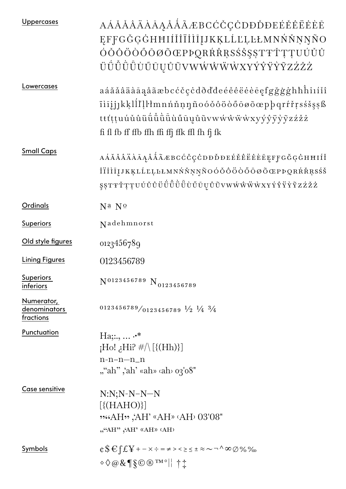| <b>Uppercases</b>                       | AÁĂĂÂÄÀĀĄÅÅÅÃÆBCĆČÇCDĐĎĐEÉĚÊËĖĖĒ<br>EFFGĞGGHHIIIIIIIIIKKLLLLLLMNNNNNNO<br>ÓŎŎÔÖŎŐŌØÕŒPÞQRŔŘŖSŚŠŞȘTŦŤŢŢUÚŬŮ<br>ÜÜÜÜÜÜŪŲŮŨVWŴŴŴŴXYÝŶŸŶŶZŹŽŻ                                                                                                                                                                                          |
|-----------------------------------------|------------------------------------------------------------------------------------------------------------------------------------------------------------------------------------------------------------------------------------------------------------------------------------------------------------------------------------|
| Lowercases                              | aáăăâäàāąåãæbcćčçċdðďđeéěêëėèēęfgğġġhħĥiıíĭî<br>ïìīįjjkķlĺľļŀłmnńňņŋñoóǒôöòőōøõœpþqrŕřŗsśšşşß<br>ttťttuú ú û ü ü ü ü ü ü ü ű ū ų ů ũ v w w ŵ w w x y ý y y y y y z ź ž ż<br>fi fl fb ff ffb ffh ffi ffj ffk ffl fh fj fk                                                                                                           |
| <b>Small Caps</b>                       | AÁĂĂÂÄÀĀĄÅÅÅÃÆBCĆČÇĊDĐĎĐEÉĚÊËĖĖĒĘFFGĞĢĠHĦIÍĬ<br>ÎÏİİIJJKĶLĹĽĻĿŁMNŃŇŅŅÑOÓŎÔÖŎŐŌØÕŒPÞQRŔŘŖSŚŠ                                                                                                                                                                                                                                        |
| Ordinals                                | N <sup>a</sup> N <sup>o</sup>                                                                                                                                                                                                                                                                                                      |
| <b>Superiors</b>                        | Nadehmnorst                                                                                                                                                                                                                                                                                                                        |
| Old style figures                       | 0123456789                                                                                                                                                                                                                                                                                                                         |
| <b>Lining Figures</b>                   | 0123456789                                                                                                                                                                                                                                                                                                                         |
| <b>Superiors</b><br>inferiors           | $N^{0123456789} N_{0123456789}$                                                                                                                                                                                                                                                                                                    |
| Numerator,<br>denominators<br>fractions | $0123456789/0123456789\frac{1}{2}\frac{1}{4}\frac{3}{4}$                                                                                                                                                                                                                                                                           |
| Punctuation                             | $Ha$ , $\cdot$ *<br>$\mathcal{H}$ le $\mathcal{H}$ if $\mathcal{H} \setminus [\{(\mathrm{Hh})\}]$<br>$n-n-n-n$<br>""ah" ,'ah' «ah» ‹ah› o3'08"                                                                                                                                                                                     |
| Case sensitive                          | $N:N;N-N-N-N$<br>$[\{(\text{HAHO})\}]$<br><b>"80'80" GHAP (AH) AH)</b> .03'08<br>""AH" ,AH' «AH» (AH)                                                                                                                                                                                                                              |
| Symbols                                 | $\mathfrak{e} \mathfrak{S} \mathfrak{E} \mathfrak{f} \mathfrak{L} \mathfrak{Y}$ + - x $\div$ = $\neq$ > < $\geq$ $\leq$ $\pm$ $\approx$ $\sim$ $\neg$ $\wedge$ $\infty$ $\varnothing$ $\varnothing$ $\varnothing$<br>$\Diamond \Diamond \oslash \& \P \S \odot \bigcirc \neg \neg \neg \neg \neg \neg \neg \neg \neg \neg \exists$ |